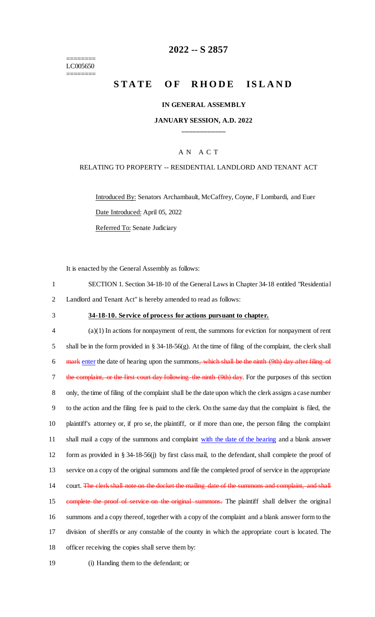======== LC005650 ========

## **2022 -- S 2857**

# **STATE OF RHODE ISLAND**

#### **IN GENERAL ASSEMBLY**

#### **JANUARY SESSION, A.D. 2022 \_\_\_\_\_\_\_\_\_\_\_\_**

#### A N A C T

#### RELATING TO PROPERTY -- RESIDENTIAL LANDLORD AND TENANT ACT

Introduced By: Senators Archambault, McCaffrey, Coyne, F Lombardi, and Euer Date Introduced: April 05, 2022 Referred To: Senate Judiciary

It is enacted by the General Assembly as follows:

| SECTION 1. Section 34-18-10 of the General Laws in Chapter 34-18 entitled "Residential" |
|-----------------------------------------------------------------------------------------|
| 2 Landlord and Tenant Act" is hereby amended to read as follows:                        |

### 3 **34-18-10. Service of process for actions pursuant to chapter.**

 (a)(1) In actions for nonpayment of rent, the summons for eviction for nonpayment of rent shall be in the form provided in § 34-18-56(g). At the time of filing of the complaint, the clerk shall 6 mark enter the date of hearing upon the summons, which shall be the ninth (9th) day after filing of 7 the complaint, or the first court day following the ninth (9th) day. For the purposes of this section only, the time of filing of the complaint shall be the date upon which the clerk assigns a case number to the action and the filing fee is paid to the clerk. On the same day that the complaint is filed, the plaintiff's attorney or, if pro se, the plaintiff, or if more than one, the person filing the complaint 11 shall mail a copy of the summons and complaint with the date of the hearing and a blank answer form as provided in § 34-18-56(j) by first class mail, to the defendant, shall complete the proof of service on a copy of the original summons and file the completed proof of service in the appropriate 14 court. The clerk shall note on the docket the mailing date of the summons and complaint, and shall 15 complete the proof of service on the original summons. The plaintiff shall deliver the original summons and a copy thereof, together with a copy of the complaint and a blank answer form to the division of sheriffs or any constable of the county in which the appropriate court is located. The officer receiving the copies shall serve them by:

19 (i) Handing them to the defendant; or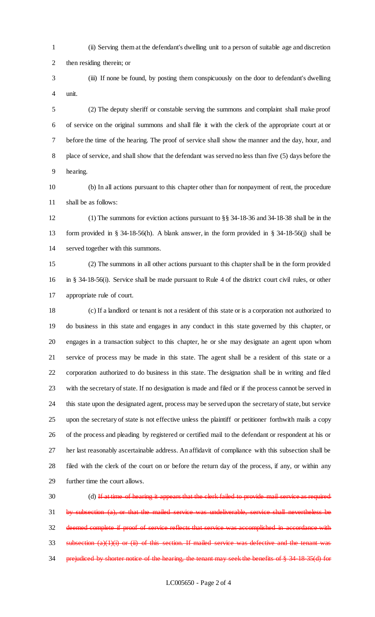- (ii) Serving them at the defendant's dwelling unit to a person of suitable age and discretion then residing therein; or
- (iii) If none be found, by posting them conspicuously on the door to defendant's dwelling unit.

 (2) The deputy sheriff or constable serving the summons and complaint shall make proof of service on the original summons and shall file it with the clerk of the appropriate court at or before the time of the hearing. The proof of service shall show the manner and the day, hour, and place of service, and shall show that the defendant was served no less than five (5) days before the hearing.

 (b) In all actions pursuant to this chapter other than for nonpayment of rent, the procedure shall be as follows:

 (1) The summons for eviction actions pursuant to §§ 34-18-36 and 34-18-38 shall be in the form provided in § 34-18-56(h). A blank answer, in the form provided in § 34-18-56(j) shall be served together with this summons.

 (2) The summons in all other actions pursuant to this chapter shall be in the form provided in § 34-18-56(i). Service shall be made pursuant to Rule 4 of the district court civil rules, or other appropriate rule of court.

 (c) If a landlord or tenant is not a resident of this state or is a corporation not authorized to do business in this state and engages in any conduct in this state governed by this chapter, or engages in a transaction subject to this chapter, he or she may designate an agent upon whom service of process may be made in this state. The agent shall be a resident of this state or a corporation authorized to do business in this state. The designation shall be in writing and filed with the secretary of state. If no designation is made and filed or if the process cannot be served in this state upon the designated agent, process may be served upon the secretary of state, but service upon the secretary of state is not effective unless the plaintiff or petitioner forthwith mails a copy of the process and pleading by registered or certified mail to the defendant or respondent at his or her last reasonably ascertainable address. An affidavit of compliance with this subsection shall be filed with the clerk of the court on or before the return day of the process, if any, or within any further time the court allows.

30 (d) If at time of hearing it appears that the clerk failed to provide mail service as required by subsection (a), or that the mailed service was undeliverable, service shall nevertheless be deemed complete if proof of service reflects that service was accomplished in accordance with subsection  $(a)(1)(i)$  or  $(ii)$  of this section. If mailed service was defective and the tenant was 34 prejudiced by shorter notice of the hearing, the tenant may seek the benefits of § 34-18-35(d) for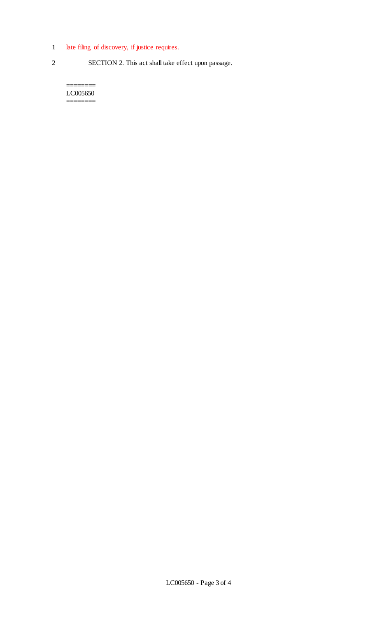# 1 late filing of discovery, if justice requires.

2 SECTION 2. This act shall take effect upon passage.

======== LC005650 ========